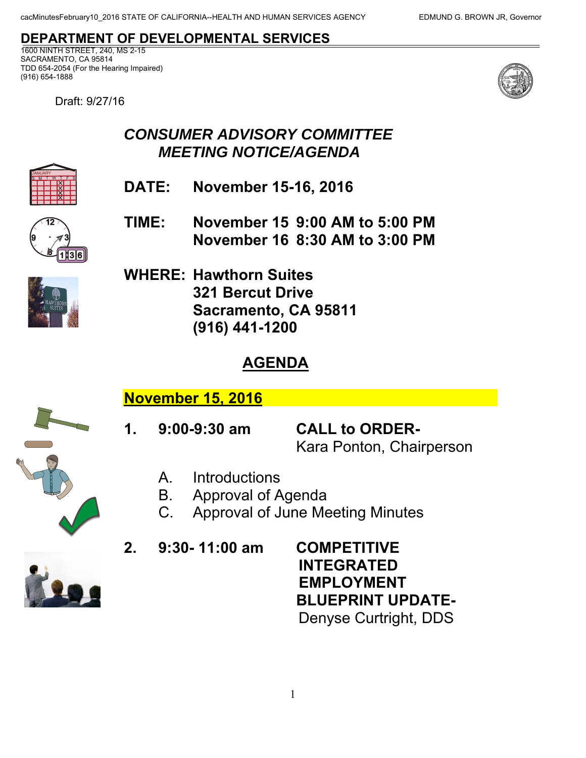## **DEPARTMENT OF DEVELOPMENTAL SERVICES**

1600 NINTH STREET, 240, MS 2-15 SACRAMENTO, CA 95814 TDD 654-2054 (For the Hearing Impaired) (916) 654-1888

Draft: 9/27/16



## *CONSUMER ADVISORY COMMITTEE MEETING NOTICE/AGENDA*

**DATE: November 15-16, 2016** 



S M T W T F S

 **November 16 8:30 AM to 3:00 PM TIME: November 15 9:00 AM to 5:00 PM** 



 **Sacramento, CA 95811 WHERE: Hawthorn Suites 321 Bercut Drive (916) 441-1200** 

## **AGENDA**

**November 15, 2016** 

**1. 9:00-9:30 am CALL to ORDER-**

Kara Ponton, Chairperson

- A. Introductions
- B. Approval of Agenda
- C. Approval of June Meeting Minutes

**2. 9:30- 11:00 am COMPETITIVE** 

**INTEGRATED EMPLOYMENT BLUEPRINT UPDATE-**Denyse Curtright, DDS

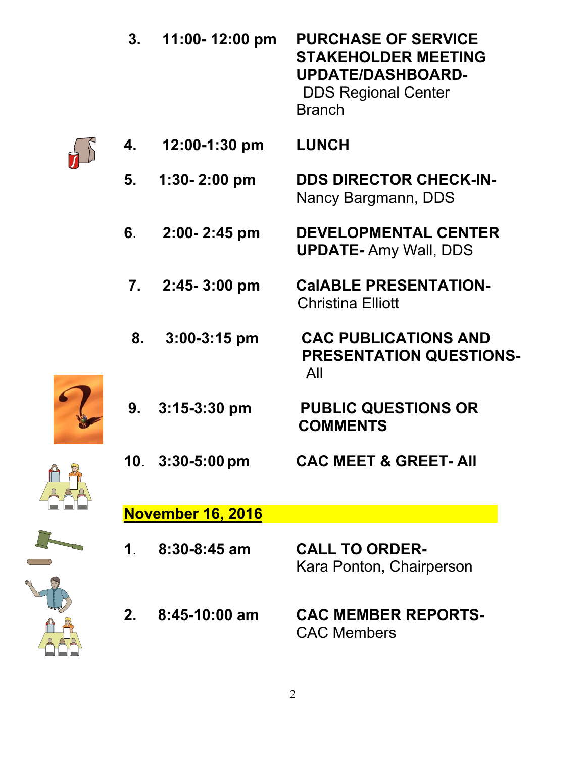|  | 3.            | 11:00-12:00 pm           | <b>PURCHASE OF SERVICE</b><br><b>STAKEHOLDER MEETING</b><br><b>UPDATE/DASHBOARD-</b><br><b>DDS Regional Center</b><br><b>Branch</b> |
|--|---------------|--------------------------|-------------------------------------------------------------------------------------------------------------------------------------|
|  | 4.            | $12:00-1:30$ pm          | <b>LUNCH</b>                                                                                                                        |
|  | 5.            | $1:30 - 2:00$ pm         | <b>DDS DIRECTOR CHECK-IN-</b><br>Nancy Bargmann, DDS                                                                                |
|  | 6.            | 2:00-2:45 pm             | <b>DEVELOPMENTAL CENTER</b><br><b>UPDATE-Amy Wall, DDS</b>                                                                          |
|  |               | 7. 2:45-3:00 pm          | <b>CaIABLE PRESENTATION-</b><br><b>Christina Elliott</b>                                                                            |
|  | 8.            | $3:00-3:15$ pm           | <b>CAC PUBLICATIONS AND</b><br><b>PRESENTATION QUESTIONS-</b><br>All                                                                |
|  |               | $9.3:15-3:30 \text{ pm}$ | <b>PUBLIC QUESTIONS OR</b><br><b>COMMENTS</b>                                                                                       |
|  |               | 10. 3:30-5:00 pm         | <b>CAC MEET &amp; GREET- AII</b>                                                                                                    |
|  |               | <b>November 16, 2016</b> |                                                                                                                                     |
|  | $\mathbf 1$ . | $8:30 - 8:45$ am         | <b>CALL TO ORDER-</b><br>Kara Ponton, Chairperson                                                                                   |
|  | $2_{-}$       | 8:45-10:00 am            | <b>CAC MEMBER REPORTS-</b><br><b>CAC Members</b>                                                                                    |